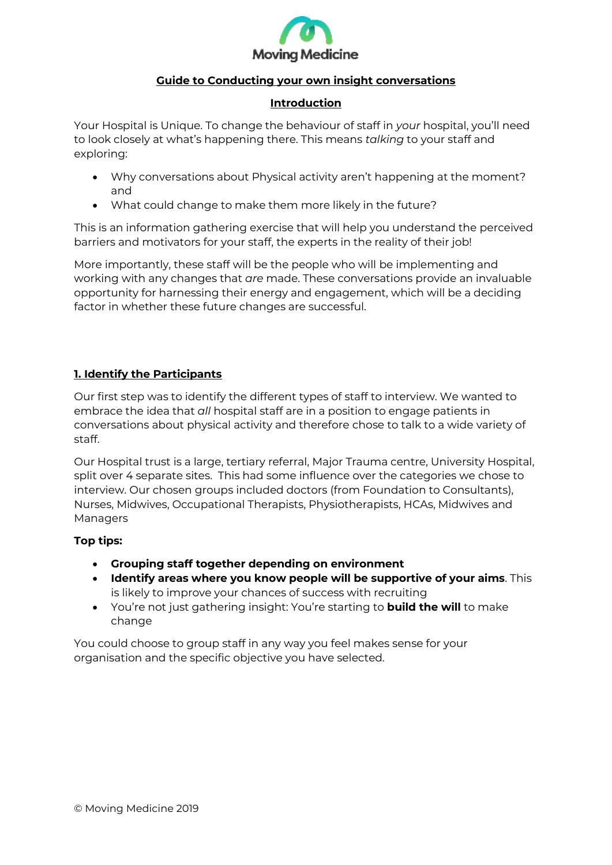

# **Guide to Conducting your own insight conversations**

#### **Introduction**

Your Hospital is Unique. To change the behaviour of staff in *your* hospital, you'll need to look closely at what's happening there. This means *talking* to your staff and exploring:

- Why conversations about Physical activity aren't happening at the moment? and
- What could change to make them more likely in the future?

This is an information gathering exercise that will help you understand the perceived barriers and motivators for your staff, the experts in the reality of their job!

More importantly, these staff will be the people who will be implementing and working with any changes that *are* made. These conversations provide an invaluable opportunity for harnessing their energy and engagement, which will be a deciding factor in whether these future changes are successful.

## **1. Identify the Participants**

Our first step was to identify the different types of staff to interview. We wanted to embrace the idea that *all* hospital staff are in a position to engage patients in conversations about physical activity and therefore chose to talk to a wide variety of staff.

Our Hospital trust is a large, tertiary referral, Major Trauma centre, University Hospital, split over 4 separate sites. This had some influence over the categories we chose to interview. Our chosen groups included doctors (from Foundation to Consultants), Nurses, Midwives, Occupational Therapists, Physiotherapists, HCAs, Midwives and Managers

## **Top tips:**

- **Grouping staff together depending on environment**
- **Identify areas where you know people will be supportive of your aims**. This is likely to improve your chances of success with recruiting
- You're not just gathering insight: You're starting to **build the will** to make change

You could choose to group staff in any way you feel makes sense for your organisation and the specific objective you have selected.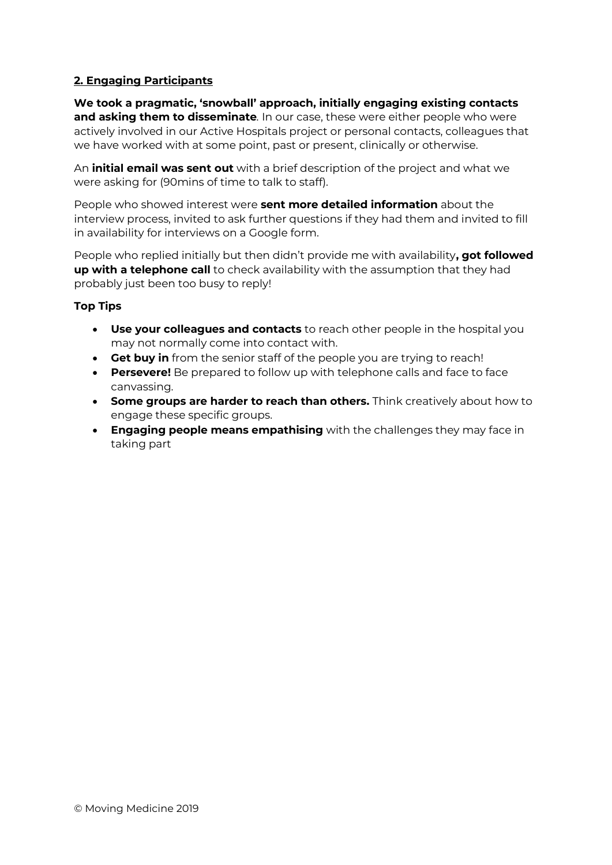# **2. Engaging Participants**

**We took a pragmatic, 'snowball' approach, initially engaging existing contacts and asking them to disseminate***.* In our case, these were either people who were actively involved in our Active Hospitals project or personal contacts, colleagues that we have worked with at some point, past or present, clinically or otherwise.

An **initial email was sent out** with a brief description of the project and what we were asking for (90mins of time to talk to staff).

People who showed interest were **sent more detailed information** about the interview process, invited to ask further questions if they had them and invited to fill in availability for interviews on a Google form.

People who replied initially but then didn't provide me with availability**, got followed up with a telephone call** to check availability with the assumption that they had probably just been too busy to reply!

#### **Top Tips**

- **Use your colleagues and contacts** to reach other people in the hospital you may not normally come into contact with.
- **Get buy in** from the senior staff of the people you are trying to reach!
- **Persevere!** Be prepared to follow up with telephone calls and face to face canvassing.
- **Some groups are harder to reach than others.** Think creatively about how to engage these specific groups.
- **Engaging people means empathising** with the challenges they may face in taking part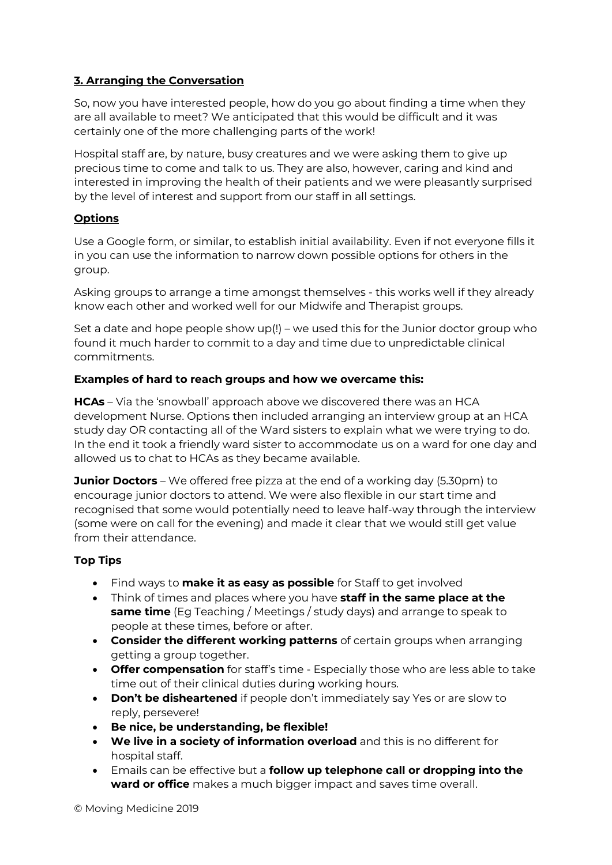# **3. Arranging the Conversation**

So, now you have interested people, how do you go about finding a time when they are all available to meet? We anticipated that this would be difficult and it was certainly one of the more challenging parts of the work!

Hospital staff are, by nature, busy creatures and we were asking them to give up precious time to come and talk to us. They are also, however, caring and kind and interested in improving the health of their patients and we were pleasantly surprised by the level of interest and support from our staff in all settings.

## **Options**

Use a Google form, or similar, to establish initial availability. Even if not everyone fills it in you can use the information to narrow down possible options for others in the group.

Asking groups to arrange a time amongst themselves - this works well if they already know each other and worked well for our Midwife and Therapist groups.

Set a date and hope people show up(!) – we used this for the Junior doctor group who found it much harder to commit to a day and time due to unpredictable clinical commitments.

#### **Examples of hard to reach groups and how we overcame this:**

**HCAs** – Via the 'snowball' approach above we discovered there was an HCA development Nurse. Options then included arranging an interview group at an HCA study day OR contacting all of the Ward sisters to explain what we were trying to do. In the end it took a friendly ward sister to accommodate us on a ward for one day and allowed us to chat to HCAs as they became available.

**Junior Doctors** – We offered free pizza at the end of a working day (5.30pm) to encourage junior doctors to attend. We were also flexible in our start time and recognised that some would potentially need to leave half-way through the interview (some were on call for the evening) and made it clear that we would still get value from their attendance.

## **Top Tips**

- Find ways to **make it as easy as possible** for Staff to get involved
- Think of times and places where you have **staff in the same place at the same time** (Eg Teaching / Meetings / study days) and arrange to speak to people at these times, before or after.
- **Consider the different working patterns** of certain groups when arranging getting a group together.
- **Offer compensation** for staff's time Especially those who are less able to take time out of their clinical duties during working hours.
- **Don't be disheartened** if people don't immediately say Yes or are slow to reply, persevere!
- **Be nice, be understanding, be flexible!**
- **We live in a society of information overload** and this is no different for hospital staff.
- Emails can be effective but a **follow up telephone call or dropping into the ward or office** makes a much bigger impact and saves time overall.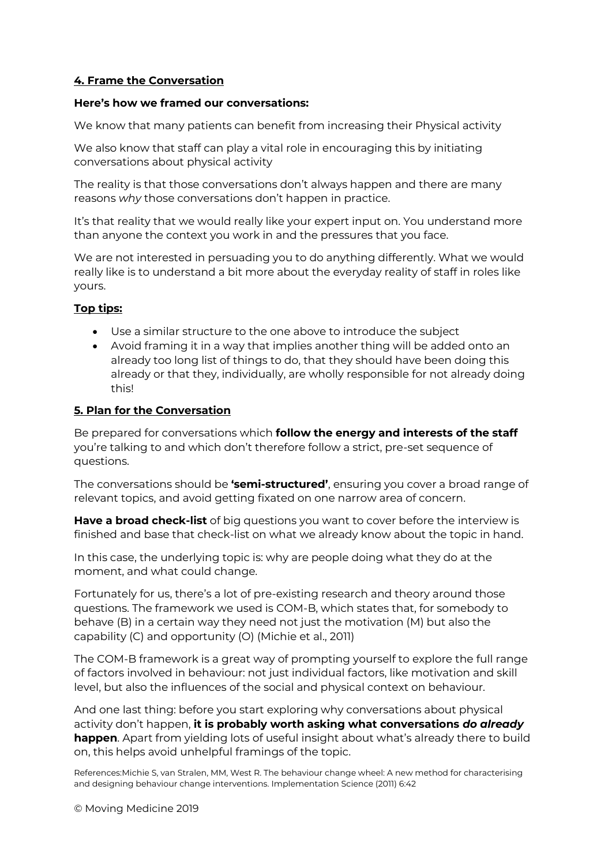# **4. Frame the Conversation**

#### **Here's how we framed our conversations:**

We know that many patients can benefit from increasing their Physical activity

We also know that staff can play a vital role in encouraging this by initiating conversations about physical activity

The reality is that those conversations don't always happen and there are many reasons *why* those conversations don't happen in practice.

It's that reality that we would really like your expert input on. You understand more than anyone the context you work in and the pressures that you face.

We are not interested in persuading you to do anything differently. What we would really like is to understand a bit more about the everyday reality of staff in roles like yours.

## **Top tips:**

- Use a similar structure to the one above to introduce the subject
- Avoid framing it in a way that implies another thing will be added onto an already too long list of things to do, that they should have been doing this already or that they, individually, are wholly responsible for not already doing this!

#### **5. Plan for the Conversation**

Be prepared for conversations which **follow the energy and interests of the staff** you're talking to and which don't therefore follow a strict, pre-set sequence of questions.

The conversations should be **'semi-structured'**, ensuring you cover a broad range of relevant topics, and avoid getting fixated on one narrow area of concern.

**Have a broad check-list** of big questions you want to cover before the interview is finished and base that check-list on what we already know about the topic in hand.

In this case, the underlying topic is: why are people doing what they do at the moment, and what could change.

Fortunately for us, there's a lot of pre-existing research and theory around those questions. The framework we used is COM-B, which states that, for somebody to behave (B) in a certain way they need not just the motivation (M) but also the capability (C) and opportunity (O) (Michie et al., 2011)

The COM-B framework is a great way of prompting yourself to explore the full range of factors involved in behaviour: not just individual factors, like motivation and skill level, but also the influences of the social and physical context on behaviour.

And one last thing: before you start exploring why conversations about physical activity don't happen, **it is probably worth asking what conversations** *do already* **happen**. Apart from yielding lots of useful insight about what's already there to build on, this helps avoid unhelpful framings of the topic.

References:Michie S, van Stralen, MM, West R. The behaviour change wheel: A new method for characterising and designing behaviour change interventions. Implementation Science (2011) 6:42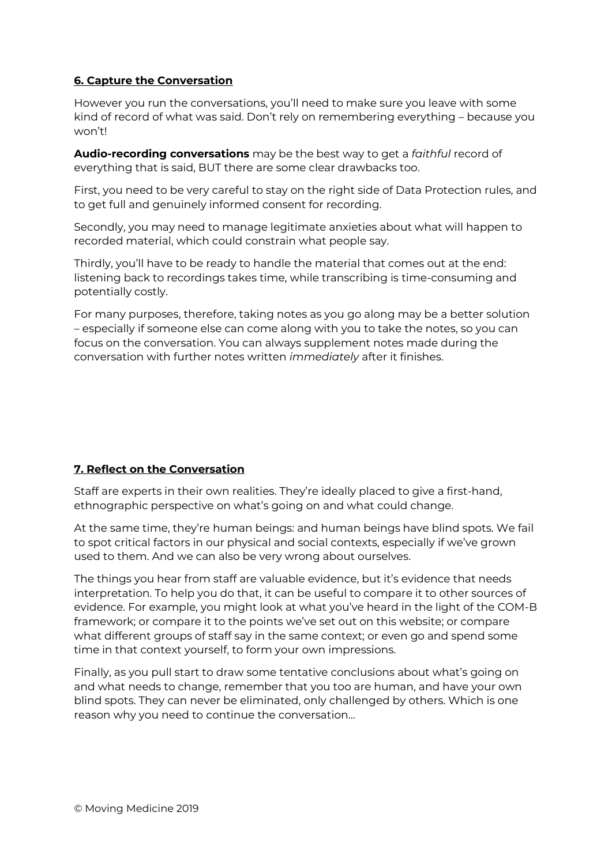# **6. Capture the Conversation**

However you run the conversations, you'll need to make sure you leave with some kind of record of what was said. Don't rely on remembering everything – because you won't!

**Audio-recording conversations** may be the best way to get a *faithful* record of everything that is said, BUT there are some clear drawbacks too.

First, you need to be very careful to stay on the right side of Data Protection rules, and to get full and genuinely informed consent for recording.

Secondly, you may need to manage legitimate anxieties about what will happen to recorded material, which could constrain what people say.

Thirdly, you'll have to be ready to handle the material that comes out at the end: listening back to recordings takes time, while transcribing is time-consuming and potentially costly.

For many purposes, therefore, taking notes as you go along may be a better solution – especially if someone else can come along with you to take the notes, so you can focus on the conversation. You can always supplement notes made during the conversation with further notes written *immediately* after it finishes.

## **7. Reflect on the Conversation**

Staff are experts in their own realities. They're ideally placed to give a first-hand, ethnographic perspective on what's going on and what could change.

At the same time, they're human beings: and human beings have blind spots. We fail to spot critical factors in our physical and social contexts, especially if we've grown used to them. And we can also be very wrong about ourselves.

The things you hear from staff are valuable evidence, but it's evidence that needs interpretation. To help you do that, it can be useful to compare it to other sources of evidence. For example, you might look at what you've heard in the light of the COM-B framework; or compare it to the points we've set out on this website; or compare what different groups of staff say in the same context; or even go and spend some time in that context yourself, to form your own impressions.

Finally, as you pull start to draw some tentative conclusions about what's going on and what needs to change, remember that you too are human, and have your own blind spots. They can never be eliminated, only challenged by others. Which is one reason why you need to continue the conversation…